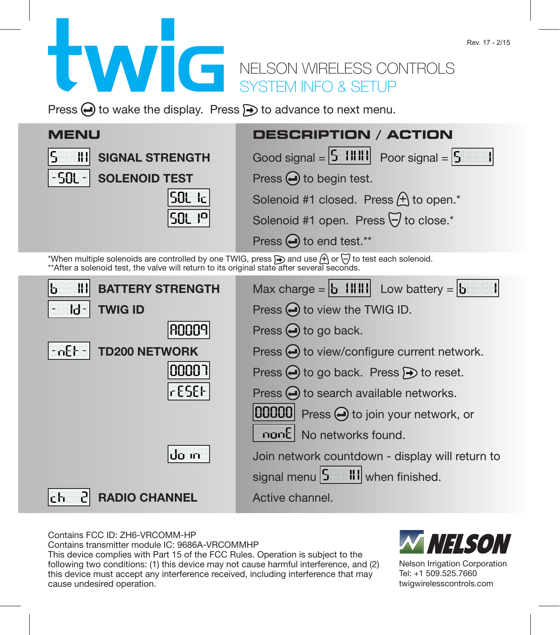## NELSON WIRELESS CONTROLS SYSTEM INFO & SETUP

Press  $\bigoplus$  to wake the display. Press  $\bigoplus$  to advance to next menu.

| <b>MENU</b>                                                                                                                                                                                                                | DESCRIPTION / ACTION                                                                                                                              |
|----------------------------------------------------------------------------------------------------------------------------------------------------------------------------------------------------------------------------|---------------------------------------------------------------------------------------------------------------------------------------------------|
| S<br>81<br><b>SIGNAL STRENGTH</b>                                                                                                                                                                                          | Good signal = $\begin{vmatrix} 5 & 1 & 1 & 1 \\ 1 & 1 & 1 & 1 \end{vmatrix}$ Poor signal = $\begin{vmatrix} 5 & 1 & 1 \\ 5 & 1 & 1 \end{vmatrix}$ |
| -SOL - <br><b>SOLENOID TEST</b>                                                                                                                                                                                            | Press $\bigoplus$ to begin test.                                                                                                                  |
| 50L Icl                                                                                                                                                                                                                    | Solenoid #1 closed. Press $\bigoplus$ to open. <sup>*</sup>                                                                                       |
| 50L 1 <sup>0</sup>                                                                                                                                                                                                         | Solenoid #1 open. Press √ to close.*                                                                                                              |
|                                                                                                                                                                                                                            | Press → to end test.**                                                                                                                            |
| *When multiple solenoids are controlled by one TWIG, press <b>A</b> and use A or $\overline{\Theta}$ to test each solenoid.<br>**After a solenoid test, the valve will return to its original state after several seconds. |                                                                                                                                                   |
| 88<br>b<br><b>BATTERY STRENGTH</b>                                                                                                                                                                                         | Max charge = $\vert b \vert$         Low battery = $\vert b \vert$                                                                                |
| ld-<br><b>TWIG ID</b>                                                                                                                                                                                                      | Press $\bigoplus$ to view the TWIG ID.                                                                                                            |
| ANNA9                                                                                                                                                                                                                      | Press $\bigoplus$ to go back.                                                                                                                     |
| - ոնե -<br><b>TD200 NETWORK</b>                                                                                                                                                                                            | Press $\bigodot$ to view/configure current network.                                                                                               |
| ר 0000                                                                                                                                                                                                                     | Press $\bigoplus$ to go back. Press $\bigoplus$ to reset.                                                                                         |
| rESEF                                                                                                                                                                                                                      | Press $\bigoplus$ to search available networks.                                                                                                   |
|                                                                                                                                                                                                                            | $ 00000 $ Press $\bigoplus$ to join your network, or                                                                                              |
|                                                                                                                                                                                                                            | nonE No networks found.                                                                                                                           |
| do in                                                                                                                                                                                                                      | Join network countdown - display will return to                                                                                                   |
|                                                                                                                                                                                                                            | signal menu 5 HI when finished.                                                                                                                   |
| 5<br>ւ ե<br><b>RADIO CHANNEL</b>                                                                                                                                                                                           | Active channel.                                                                                                                                   |

Contains FCC ID: ZH6-VRCOMM-HP

Contains transmitter module IC: 9686A-VRCOMMHP

This device complies with Part 15 of the FCC Rules. Operation is subject to the following two conditions: (1) this device may not cause harmful interference, and (2) this device must accept any interference received, including interference that may cause undesired operation.



Nelson Irrigation Corporation Tel: +1 509.525.7660 twigwirelesscontrols.com